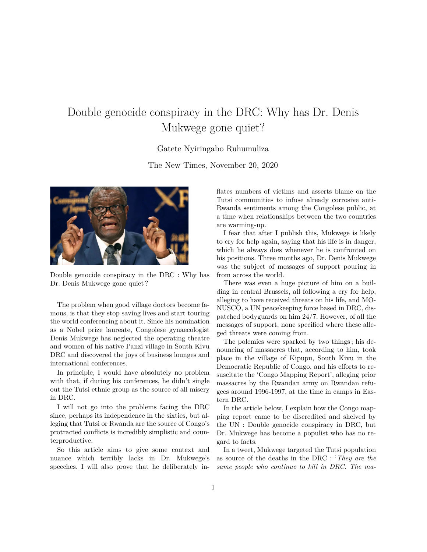## Double genocide conspiracy in the DRC: Why has Dr. Denis Mukwege gone quiet?

## Gatete Nyiringabo Ruhumuliza

The New Times, November 20, 2020



Double genocide conspiracy in the DRC : Why has Dr. Denis Mukwege gone quiet ?

The problem when good village doctors become famous, is that they stop saving lives and start touring the world conferencing about it. Since his nomination as a Nobel prize laureate, Congolese gynaecologist Denis Mukwege has neglected the operating theatre and women of his native Panzi village in South Kivu DRC and discovered the joys of business lounges and international conferences.

In principle, I would have absolutely no problem with that, if during his conferences, he didn't single out the Tutsi ethnic group as the source of all misery in DRC.

I will not go into the problems facing the DRC since, perhaps its independence in the sixties, but alleging that Tutsi or Rwanda are the source of Congo's protracted conflicts is incredibly simplistic and counterproductive.

So this article aims to give some context and nuance which terribly lacks in Dr. Mukwege's speeches. I will also prove that he deliberately inflates numbers of victims and asserts blame on the Tutsi communities to infuse already corrosive anti-Rwanda sentiments among the Congolese public, at a time when relationships between the two countries are warming-up.

I fear that after I publish this, Mukwege is likely to cry for help again, saying that his life is in danger, which he always dœs whenever he is confronted on his positions. Three months ago, Dr. Denis Mukwege was the subject of messages of support pouring in from across the world.

There was even a huge picture of him on a building in central Brussels, all following a cry for help, alleging to have received threats on his life, and MO-NUSCO, a UN peacekeeping force based in DRC, dispatched bodyguards on him 24/7. However, of all the messages of support, none specified where these alleged threats were coming from.

The polemics were sparked by two things ; his denouncing of massacres that, according to him, took place in the village of Kipupu, South Kivu in the Democratic Republic of Congo, and his efforts to resuscitate the 'Congo Mapping Report', alleging prior massacres by the Rwandan army on Rwandan refugees around 1996-1997, at the time in camps in Eastern DRC.

In the article below, I explain how the Congo mapping report came to be discredited and shelved by the UN : Double genocide conspiracy in DRC, but Dr. Mukwege has become a populist who has no regard to facts.

In a tweet, Mukwege targeted the Tutsi population as source of the deaths in the DRC : '*They are the same people who continue to kill in DRC. The ma-*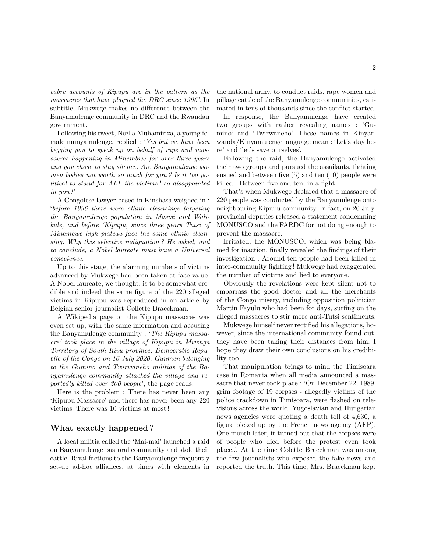*cabre accounts of Kipupu are in the pattern as the massacres that have plagued the DRC since 1996* '. In subtitle, Mukwege makes no difference between the Banyamulenge community in DRC and the Rwandan government.

Following his tweet, Nœlla Muhamiriza, a young female munyamulenge, replied : '*Yes but we have been begging you to speak up on behalf of rape and massacres happening in Minembwe for over three years and you chose to stay silence. Are Banyamulenge women bodies not worth so much for you ? Is it too political to stand for ALL the victims ! so disappointed in you !*'

A Congolese lawyer based in Kinshasa weighed in : '*before 1996 there were ethnic cleansings targeting the Banyamulenge population in Masisi and Walikale, and before 'Kipupu, since three years Tutsi of Minembwe high plateau face the same ethnic cleansing. Why this selective indignation ? He asked, and to conclude, a Nobel laureate must have a Universal conscience.*'

Up to this stage, the alarming numbers of victims advanced by Mukwege had been taken at face value. A Nobel laureate, we thought, is to be somewhat credible and indeed the same figure of the 220 alleged victims in Kipupu was reproduced in an article by Belgian senior journalist Collette Braeckman.

A Wikipedia page on the Kipupu massacres was even set up, with the same information and accusing the Banyamulenge community : '*The Kipupu massacre' took place in the village of Kipupu in Mwenga Territory of South Kivu province, Democratic Republic of the Congo on 16 July 2020. Gunmen belonging to the Gumino and Twirwaneho militias of the Banyamulenge community attacked the village and reportedly killed over 200 people*', the page reads.

Here is the problem : There has never been any 'Kipupu Massacre' and there has never been any 220 victims. There was 10 victims at most !

## **What exactly happened ?**

A local militia called the 'Mai-mai' launched a raid on Banyamulenge pastoral community and stole their cattle. Rival factions to the Banyamulenge frequently set-up ad-hoc alliances, at times with elements in the national army, to conduct raids, rape women and pillage cattle of the Banyamulenge communities, estimated in tens of thousands since the conflict started.

In response, the Banyamulenge have created two groups with rather revealing names : 'Gumino' and 'Twirwaneho'. These names in Kinyarwanda/Kinyamulenge language mean : 'Let's stay here' and 'let's save ourselves'.

Following the raid, the Banyamulenge activated their two groups and pursued the assailants, fighting ensued and between five (5) and ten (10) people were killed : Between five and ten, in a fight.

That's when Mukwege declared that a massacre of 220 people was conducted by the Banyamulenge onto neighbouring Kipupu community. In fact, on 26 July, provincial deputies released a statement condemning MONUSCO and the FARDC for not doing enough to prevent the massacre.

Irritated, the MONUSCO, which was being blamed for inaction, finally revealed the findings of their investigation : Around ten people had been killed in inter-community fighting ! Mukwege had exaggerated the number of victims and lied to everyone.

Obviously the revelations were kept silent not to embarrass the good doctor and all the merchants of the Congo misery, including opposition politician Martin Fayulu who had been for days, surfing on the alleged massacres to stir more anti-Tutsi sentiments.

Mukwege himself never rectified his allegations, however, since the international community found out, they have been taking their distances from him. I hope they draw their own conclusions on his credibility too.

That manipulation brings to mind the Timisoara case in Romania when all media announced a massacre that never took place : 'On December 22, 1989, grim footage of 19 corpses - allegedly victims of the police crackdown in Timisoara, were flashed on televisions across the world. Yugoslavian and Hungarian news agencies were quoting a death toll of 4,630, a figure picked up by the French news agency (AFP). One month later, it turned out that the corpses were of people who died before the protest even took place..'. At the time Colette Braeckman was among the few journalists who exposed the fake news and reported the truth. This time, Mrs. Braeckman kept